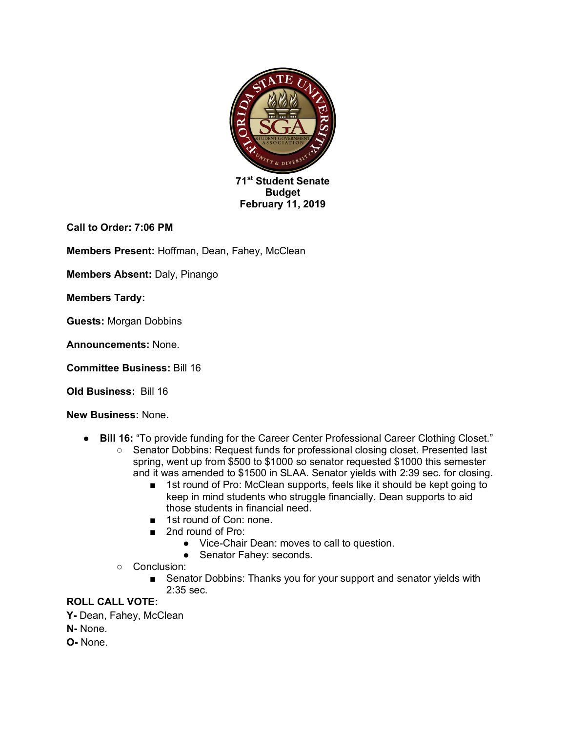

**Call to Order: 7:06 PM**

**Members Present:** Hoffman, Dean, Fahey, McClean

**Members Absent:** Daly, Pinango

**Members Tardy:** 

**Guests:** Morgan Dobbins

**Announcements:** None.

**Committee Business:** Bill 16

**Old Business:** Bill 16

**New Business:** None.

- **Bill 16:** "To provide funding for the Career Center Professional Career Clothing Closet."
	- Senator Dobbins: Request funds for professional closing closet. Presented last spring, went up from \$500 to \$1000 so senator requested \$1000 this semester and it was amended to \$1500 in SLAA. Senator yields with 2:39 sec. for closing.
		- 1st round of Pro: McClean supports, feels like it should be kept going to keep in mind students who struggle financially. Dean supports to aid those students in financial need.
		- 1st round of Con: none.
		- 2nd round of Pro:
			- Vice-Chair Dean: moves to call to question.
			- Senator Fahey: seconds.
	- Conclusion:
		- Senator Dobbins: Thanks you for your support and senator yields with 2:35 sec.

## **ROLL CALL VOTE:**

**Y-** Dean, Fahey, McClean

**N-** None.

**O-** None.